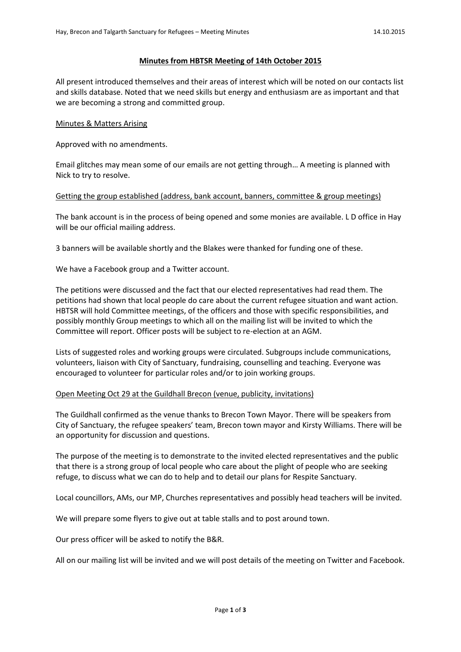## **Minutes from HBTSR Meeting of 14th October 2015**

All present introduced themselves and their areas of interest which will be noted on our contacts list and skills database. Noted that we need skills but energy and enthusiasm are as important and that we are becoming a strong and committed group.

## Minutes & Matters Arising

Approved with no amendments.

Email glitches may mean some of our emails are not getting through… A meeting is planned with Nick to try to resolve.

## Getting the group established (address, bank account, banners, committee & group meetings)

The bank account is in the process of being opened and some monies are available. L D office in Hay will be our official mailing address.

3 banners will be available shortly and the Blakes were thanked for funding one of these.

We have a Facebook group and a Twitter account.

The petitions were discussed and the fact that our elected representatives had read them. The petitions had shown that local people do care about the current refugee situation and want action. HBTSR will hold Committee meetings, of the officers and those with specific responsibilities, and possibly monthly Group meetings to which all on the mailing list will be invited to which the Committee will report. Officer posts will be subject to re-election at an AGM.

Lists of suggested roles and working groups were circulated. Subgroups include communications, volunteers, liaison with City of Sanctuary, fundraising, counselling and teaching. Everyone was encouraged to volunteer for particular roles and/or to join working groups.

# Open Meeting Oct 29 at the Guildhall Brecon (venue, publicity, invitations)

The Guildhall confirmed as the venue thanks to Brecon Town Mayor. There will be speakers from City of Sanctuary, the refugee speakers' team, Brecon town mayor and Kirsty Williams. There will be an opportunity for discussion and questions.

The purpose of the meeting is to demonstrate to the invited elected representatives and the public that there is a strong group of local people who care about the plight of people who are seeking refuge, to discuss what we can do to help and to detail our plans for Respite Sanctuary.

Local councillors, AMs, our MP, Churches representatives and possibly head teachers will be invited.

We will prepare some flyers to give out at table stalls and to post around town.

Our press officer will be asked to notify the B&R.

All on our mailing list will be invited and we will post details of the meeting on Twitter and Facebook.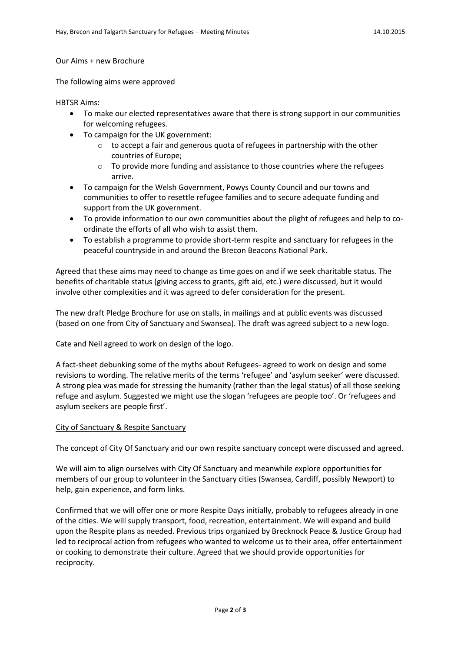#### Our Aims + new Brochure

The following aims were approved

HBTSR Aims:

- To make our elected representatives aware that there is strong support in our communities for welcoming refugees.
- To campaign for the UK government:
	- $\circ$  to accept a fair and generous quota of refugees in partnership with the other countries of Europe;
	- $\circ$  To provide more funding and assistance to those countries where the refugees arrive.
- To campaign for the Welsh Government, Powys County Council and our towns and communities to offer to resettle refugee families and to secure adequate funding and support from the UK government.
- To provide information to our own communities about the plight of refugees and help to coordinate the efforts of all who wish to assist them.
- To establish a programme to provide short-term respite and sanctuary for refugees in the peaceful countryside in and around the Brecon Beacons National Park.

Agreed that these aims may need to change as time goes on and if we seek charitable status. The benefits of charitable status (giving access to grants, gift aid, etc.) were discussed, but it would involve other complexities and it was agreed to defer consideration for the present.

The new draft Pledge Brochure for use on stalls, in mailings and at public events was discussed (based on one from City of Sanctuary and Swansea). The draft was agreed subject to a new logo.

Cate and Neil agreed to work on design of the logo.

A fact-sheet debunking some of the myths about Refugees- agreed to work on design and some revisions to wording. The relative merits of the terms 'refugee' and 'asylum seeker' were discussed. A strong plea was made for stressing the humanity (rather than the legal status) of all those seeking refuge and asylum. Suggested we might use the slogan 'refugees are people too'. Or 'refugees and asylum seekers are people first'.

### City of Sanctuary & Respite Sanctuary

The concept of City Of Sanctuary and our own respite sanctuary concept were discussed and agreed.

We will aim to align ourselves with City Of Sanctuary and meanwhile explore opportunities for members of our group to volunteer in the Sanctuary cities (Swansea, Cardiff, possibly Newport) to help, gain experience, and form links.

Confirmed that we will offer one or more Respite Days initially, probably to refugees already in one of the cities. We will supply transport, food, recreation, entertainment. We will expand and build upon the Respite plans as needed. Previous trips organized by Brecknock Peace & Justice Group had led to reciprocal action from refugees who wanted to welcome us to their area, offer entertainment or cooking to demonstrate their culture. Agreed that we should provide opportunities for reciprocity.